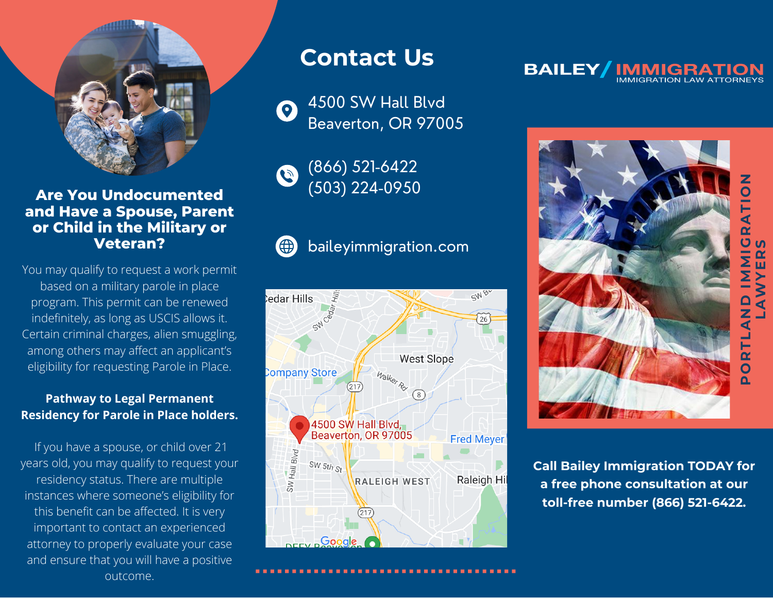

## **Are You Undocumented and Have a Spouse, Parent or Child in the Military or Veteran?**

You may qualify to request a work permit based on a military parole in place program. This permit can be renewed indefinitely, as long as USCIS allows it. Certain criminal charges, alien smuggling, among others may affect an applicant's eligibility for requesting Parole in Place.

### **Pathway to Legal Permanent Residency for Parole in Place holders.**

If you have a spouse, or child over 21 years old, you may qualify to request your residency status. There are multiple instances where someone's eligibility for this benefit can be affected. It is very important to contact an experienced attorney to properly evaluate your case and ensure that you will have a positive outcome.

# **Contact Us**

4500 SW Hall Blvd  $\bullet$ Beaverton, OR 97005

(866) 521-6422  $\bullet$ (503) 224-0950

# (⊕

# baileyimmigration.com



#### **BAILEY IMMIGRATION**



**Call Bailey Immigration TODAY for a free phone consultation at our toll-free number (866) [521-6422](tel:866-521-6422).**

**ORTLA NDVIAD MIG RA TIO LA WY ER**<u>ហ</u>

**N**

<u>ם</u>